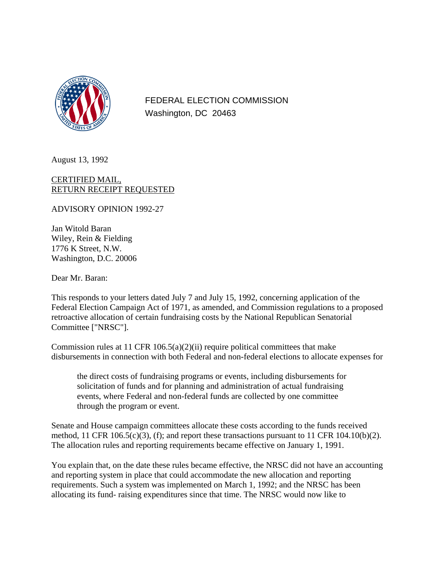

FEDERAL ELECTION COMMISSION Washington, DC 20463

August 13, 1992

# CERTIFIED MAIL, RETURN RECEIPT REQUESTED

ADVISORY OPINION 1992-27

Jan Witold Baran Wiley, Rein & Fielding 1776 K Street, N.W. Washington, D.C. 20006

Dear Mr. Baran:

This responds to your letters dated July 7 and July 15, 1992, concerning application of the Federal Election Campaign Act of 1971, as amended, and Commission regulations to a proposed retroactive allocation of certain fundraising costs by the National Republican Senatorial Committee ["NRSC"].

Commission rules at 11 CFR  $106.5(a)(2)(ii)$  require political committees that make disbursements in connection with both Federal and non-federal elections to allocate expenses for

the direct costs of fundraising programs or events, including disbursements for solicitation of funds and for planning and administration of actual fundraising events, where Federal and non-federal funds are collected by one committee through the program or event.

Senate and House campaign committees allocate these costs according to the funds received method, 11 CFR 106.5(c)(3), (f); and report these transactions pursuant to 11 CFR 104.10(b)(2). The allocation rules and reporting requirements became effective on January 1, 1991.

You explain that, on the date these rules became effective, the NRSC did not have an accounting and reporting system in place that could accommodate the new allocation and reporting requirements. Such a system was implemented on March 1, 1992; and the NRSC has been allocating its fund- raising expenditures since that time. The NRSC would now like to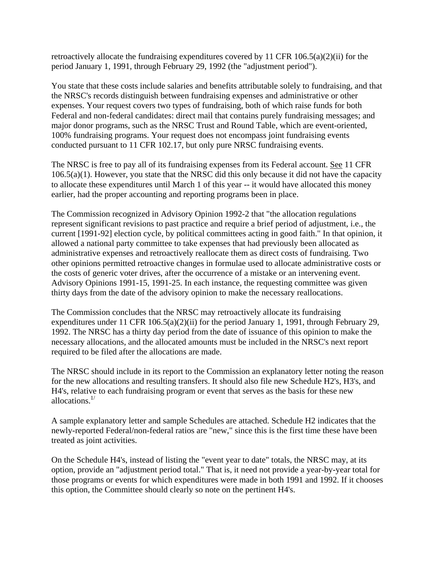retroactively allocate the fundraising expenditures covered by 11 CFR  $106.5(a)(2)(ii)$  for the period January 1, 1991, through February 29, 1992 (the "adjustment period").

You state that these costs include salaries and benefits attributable solely to fundraising, and that the NRSC's records distinguish between fundraising expenses and administrative or other expenses. Your request covers two types of fundraising, both of which raise funds for both Federal and non-federal candidates: direct mail that contains purely fundraising messages; and major donor programs, such as the NRSC Trust and Round Table, which are event-oriented, 100% fundraising programs. Your request does not encompass joint fundraising events conducted pursuant to 11 CFR 102.17, but only pure NRSC fundraising events.

The NRSC is free to pay all of its fundraising expenses from its Federal account. See 11 CFR 106.5(a)(1). However, you state that the NRSC did this only because it did not have the capacity to allocate these expenditures until March 1 of this year -- it would have allocated this money earlier, had the proper accounting and reporting programs been in place.

The Commission recognized in Advisory Opinion 1992-2 that "the allocation regulations represent significant revisions to past practice and require a brief period of adjustment, i.e., the current [1991-92] election cycle, by political committees acting in good faith." In that opinion, it allowed a national party committee to take expenses that had previously been allocated as administrative expenses and retroactively reallocate them as direct costs of fundraising. Two other opinions permitted retroactive changes in formulae used to allocate administrative costs or the costs of generic voter drives, after the occurrence of a mistake or an intervening event. Advisory Opinions 1991-15, 1991-25. In each instance, the requesting committee was given thirty days from the date of the advisory opinion to make the necessary reallocations.

The Commission concludes that the NRSC may retroactively allocate its fundraising expenditures under 11 CFR 106.5(a)(2)(ii) for the period January 1, 1991, through February 29, 1992. The NRSC has a thirty day period from the date of issuance of this opinion to make the necessary allocations, and the allocated amounts must be included in the NRSC's next report required to be filed after the allocations are made.

The NRSC should include in its report to the Commission an explanatory letter noting the reason for the new allocations and resulting transfers. It should also file new Schedule H2's, H3's, and H4's, relative to each fundraising program or event that serves as the basis for these new allocations.1/

A sample explanatory letter and sample Schedules are attached. Schedule H2 indicates that the newly-reported Federal/non-federal ratios are "new," since this is the first time these have been treated as joint activities.

On the Schedule H4's, instead of listing the "event year to date" totals, the NRSC may, at its option, provide an "adjustment period total." That is, it need not provide a year-by-year total for those programs or events for which expenditures were made in both 1991 and 1992. If it chooses this option, the Committee should clearly so note on the pertinent H4's.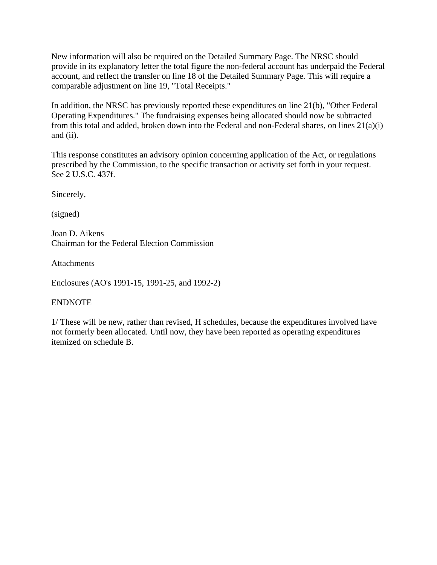New information will also be required on the Detailed Summary Page. The NRSC should provide in its explanatory letter the total figure the non-federal account has underpaid the Federal account, and reflect the transfer on line 18 of the Detailed Summary Page. This will require a comparable adjustment on line 19, "Total Receipts."

In addition, the NRSC has previously reported these expenditures on line 21(b), "Other Federal Operating Expenditures." The fundraising expenses being allocated should now be subtracted from this total and added, broken down into the Federal and non-Federal shares, on lines 21(a)(i) and (ii).

This response constitutes an advisory opinion concerning application of the Act, or regulations prescribed by the Commission, to the specific transaction or activity set forth in your request. See 2 U.S.C. 437f.

Sincerely,

(signed)

Joan D. Aikens Chairman for the Federal Election Commission

**Attachments** 

Enclosures (AO's 1991-15, 1991-25, and 1992-2)

## ENDNOTE

1/ These will be new, rather than revised, H schedules, because the expenditures involved have not formerly been allocated. Until now, they have been reported as operating expenditures itemized on schedule B.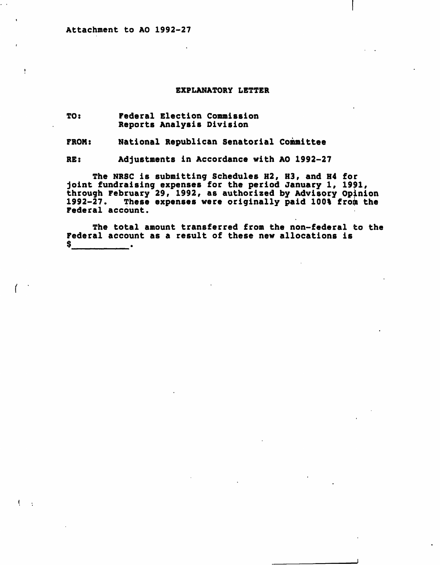$\pmb{\cdot}$ 

 $\mathbf{C}$ 

#### EXPLANATORY LETTER

TO: Federal Election Commission Reports Analysis Division

FROM: National Republican Senatorial Committee

RE: Adjustments in Accordance with AO 1992-27

The NRSC is submitting Schedules H2, H3, and H4 for joint fundraising expenses for the period January 1, 1991, through February 29, 1992, as authorized by Advisory Opinion 1992-27. These expenses were originally paid 100% from the Federal account.

The total amount transferred from the non-federal to the Federal account as a result of these new allocations is<br>\$  $\overline{\phantom{a}}$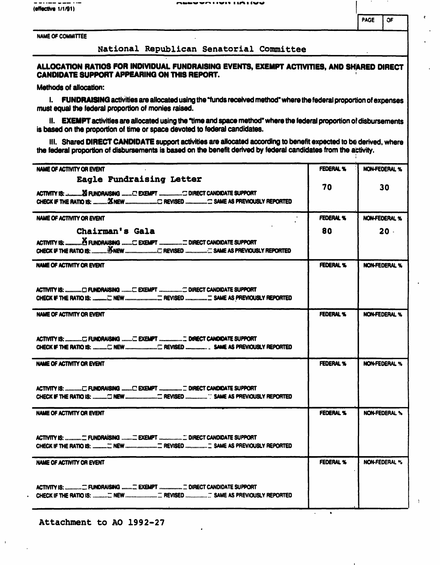(effective 1/1/91)

NAME OF COMMITTEE

### National Republican Senatorial Committee

### ALLOCATION RATIOS FOR INDIVIDUAL FUNDRAISINQ EVENTS, EXEMPT ACTIVITIES, AND SHARED DIRECT CANDIDATE SUPPORT APPEARING ON THIS REPORT.

Methods of allocation:

I. FUNDRAISINQ activities are allocated using the "funds received method" where the federal proportion of expenses must equal the federal proportion of monies raised.

II. EXEMPT activities are allocated using the "time and space method" where the federal proportion of disbursements is based on the proportion of time or space devoted to federal candidates.

III. Shared DIRECT CANDIDATE support activities are allocated according to benefit expected to be derived, where the federal proportion of disbursements is based on the benefit derived by federal candidates from the activity.

| NAME OF ACTIVITY OR EVENT                                                                      | FEDERAL %        | <b>NON-FEDERAL %</b> |
|------------------------------------------------------------------------------------------------|------------------|----------------------|
| Eagle Fundraising Letter<br>ACTIVITY IS:  Xi FUNDRAISING  C EXEMPT  C DIRECT CANDIDATE SUPPORT | 70               | 30                   |
| NAME OF ACTIVITY OR EVENT                                                                      | <b>FEDERAL %</b> | <b>NON-FEDERAL %</b> |
| Chairman's Gala                                                                                | 80               | $20 -$               |
| ACTIVITY IS:  A FUNDRAISING  EXEMPT  DIRECT CANDIDATE SUPPORT                                  |                  |                      |
| NAME OF ACTIVITY OR EVENT                                                                      | <b>FEDERAL %</b> | <b>NON-FEDERAL %</b> |
|                                                                                                |                  |                      |
| NAME OF ACTIVITY OR EVENT                                                                      | FEDERAL %        | <b>NON-FEDERAL %</b> |
| ACTIVITY IS:  E FUNDRAISING  EXEMPT  DIRECT CANDIDATE SUPPORT                                  |                  |                      |
| NAME OF ACTIVITY OR EVENT                                                                      | FEDERAL %        | NON-FEDERAL %        |
| ACTIVITY IS:  E FUNDRAISING  EXEMPT  E DIRECT CANDIDATE SUPPORT                                |                  |                      |
| <b>NAME OF ACTIVITY OR EVENT</b>                                                               | <b>FEDERAL %</b> | <b>NON-FEDERAL %</b> |
|                                                                                                |                  |                      |
| NAME OF ACTIVITY OR EVENT                                                                      | <b>FEDERAL %</b> | <b>NON-FEDERAL %</b> |
| ACTIVITY IS:  FUNDRAISING  EXEMPT  InRECT CANDIDATE SUPPORT                                    |                  |                      |

 $\bullet$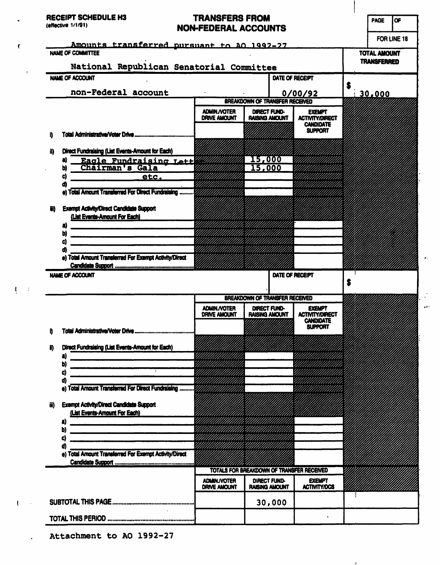RECEIPT SCHEDULE H3

#### (effective 1/1/91)

 $\pmb{\zeta}$ 

 $\sim 10$ 

 $\mathbf{U} \in \mathbb{R}$ 

 $\mathbf{I} \in \mathbb{R}^n$ 

 $\ddot{\phantom{a}}$ 

# TRANSFERS FROM NON-FEDERAL ACCOUNTS

 $\bar{\omega}$  .

 $\mathbb{R}^2$ ie)

 $\mathbf{1}$ 

PAGE OF

|                                                                                                                                                                                                                                                                                                                                                     |                                            |                                       |              |                                            | <b>TOTAL AMOUNT</b><br><b>TRANSFERRED</b> |  |
|-----------------------------------------------------------------------------------------------------------------------------------------------------------------------------------------------------------------------------------------------------------------------------------------------------------------------------------------------------|--------------------------------------------|---------------------------------------|--------------|--------------------------------------------|-------------------------------------------|--|
| National Republican Senatorial Committee                                                                                                                                                                                                                                                                                                            |                                            |                                       |              |                                            |                                           |  |
| NAME OF ACCOUNT                                                                                                                                                                                                                                                                                                                                     | DATE OF RECEIPT                            |                                       |              |                                            |                                           |  |
| non-Federal account                                                                                                                                                                                                                                                                                                                                 | 0/00/92                                    |                                       |              | S<br>130,000                               |                                           |  |
|                                                                                                                                                                                                                                                                                                                                                     | <b>BREAKDOWN OF TRANSFER RECEIVED</b>      |                                       |              |                                            |                                           |  |
|                                                                                                                                                                                                                                                                                                                                                     | <b>ADMIN./VOTER</b><br><b>DRIVE AMOUNT</b> | DIRECT FUND-<br><b>RAISING AMOUNT</b> |              | <b>EXEMPT</b><br><b>ACTIVITY/DIRECT</b>    |                                           |  |
|                                                                                                                                                                                                                                                                                                                                                     |                                            |                                       |              | <b>CANDIDATE</b>                           |                                           |  |
|                                                                                                                                                                                                                                                                                                                                                     |                                            |                                       |              | <b>SUPPORT</b>                             |                                           |  |
| Direct Fundraising (List Events-Amount for Each)<br>iD                                                                                                                                                                                                                                                                                              |                                            |                                       |              |                                            |                                           |  |
| Eagle Fundraising Lett<br>a                                                                                                                                                                                                                                                                                                                         |                                            | <b>I5,000</b>                         |              |                                            |                                           |  |
| Chairman's Gala<br>Ы                                                                                                                                                                                                                                                                                                                                |                                            | 15,000                                |              |                                            |                                           |  |
| C)<br>etc.<br>a                                                                                                                                                                                                                                                                                                                                     |                                            |                                       |              |                                            |                                           |  |
| e) Total Amount Transferred For Direct Fundraising                                                                                                                                                                                                                                                                                                  |                                            |                                       |              |                                            |                                           |  |
| <b>Exempt Activity/Direct Candidate Support</b><br>W)                                                                                                                                                                                                                                                                                               |                                            |                                       |              |                                            |                                           |  |
| (List Events-Amount For Each)                                                                                                                                                                                                                                                                                                                       |                                            |                                       |              |                                            |                                           |  |
| a)                                                                                                                                                                                                                                                                                                                                                  |                                            |                                       |              |                                            |                                           |  |
| b)<br><u> 1989 - Andrea Stadt Britain, amerikan bestean ing disebut bestean die stadt besteht in die stadt van die stad</u><br>C)                                                                                                                                                                                                                   |                                            |                                       |              |                                            |                                           |  |
| d                                                                                                                                                                                                                                                                                                                                                   |                                            |                                       |              |                                            |                                           |  |
| e) Total Amount Transferred For Exempt Activity/Direct                                                                                                                                                                                                                                                                                              |                                            |                                       |              |                                            |                                           |  |
| <b>NAME OF ACCOUNT</b>                                                                                                                                                                                                                                                                                                                              |                                            |                                       |              |                                            |                                           |  |
|                                                                                                                                                                                                                                                                                                                                                     | DATE OF RECEIPT                            |                                       |              | S                                          |                                           |  |
|                                                                                                                                                                                                                                                                                                                                                     |                                            | BREAKDOWN OF TRANSFER RECEIVED        |              |                                            |                                           |  |
|                                                                                                                                                                                                                                                                                                                                                     | <b>ADMIN / YOTER</b>                       | DIRECT FUND-                          |              | <b>EXEMPT</b>                              |                                           |  |
|                                                                                                                                                                                                                                                                                                                                                     | <b>DRIVE AMOUNT</b>                        | <b>RAISING AMOUNT</b>                 |              | <b>ACTIVITY/DIRECT</b><br><b>CANDIDATE</b> |                                           |  |
|                                                                                                                                                                                                                                                                                                                                                     |                                            |                                       |              | <b>SUPPORT</b>                             |                                           |  |
|                                                                                                                                                                                                                                                                                                                                                     |                                            |                                       |              |                                            |                                           |  |
| Direct Fundraising (List Events-Amount for Each)                                                                                                                                                                                                                                                                                                    |                                            |                                       |              |                                            |                                           |  |
| a)                                                                                                                                                                                                                                                                                                                                                  |                                            |                                       |              | HIIIIIIIIIIIIIII                           |                                           |  |
|                                                                                                                                                                                                                                                                                                                                                     |                                            |                                       |              |                                            |                                           |  |
| D<br>C)                                                                                                                                                                                                                                                                                                                                             |                                            |                                       |              |                                            |                                           |  |
| ď                                                                                                                                                                                                                                                                                                                                                   |                                            |                                       |              |                                            |                                           |  |
| <b>Total Amount Transferred For Direct Fundraising </b><br>e)                                                                                                                                                                                                                                                                                       |                                            |                                       |              |                                            |                                           |  |
| <b>Exempt Activity/Direct Candidate Support</b><br>iii)                                                                                                                                                                                                                                                                                             |                                            |                                       |              |                                            |                                           |  |
| (List Events-Amount For Each)                                                                                                                                                                                                                                                                                                                       |                                            |                                       |              |                                            |                                           |  |
| a)<br>.<br><del>In the first term and the first theory and the first term and the first term of</del><br>b)<br><u> 1980 - Johann John Harry Harry Harry Harry Harry Harry Harry Harry Harry Harry Harry Harry Harry Harry Harry Harry Harry Harry Harry Harry Harry Harry Harry Harry Harry Harry Harry Harry Harry Harry Harry Harry Harry Har</u> |                                            |                                       |              |                                            |                                           |  |
| C)                                                                                                                                                                                                                                                                                                                                                  |                                            |                                       |              |                                            |                                           |  |
| ď)                                                                                                                                                                                                                                                                                                                                                  |                                            |                                       |              |                                            |                                           |  |
| e) Total Amount Transferred For Exempt Activity/Direct                                                                                                                                                                                                                                                                                              |                                            |                                       |              |                                            |                                           |  |
|                                                                                                                                                                                                                                                                                                                                                     |                                            |                                       |              | TOTALS FOR BREAKDOWN OF TRANSFER RECEIVED  |                                           |  |
|                                                                                                                                                                                                                                                                                                                                                     | <b>ADMIN./VOTER</b>                        |                                       | DIRECT FUND- | <b>EXEMPT</b>                              |                                           |  |
|                                                                                                                                                                                                                                                                                                                                                     | <b>DRIVE AMOUNT</b>                        | <b>RAISING AMOUNT</b>                 |              | <b>ACTIVITY/DCS</b>                        |                                           |  |
|                                                                                                                                                                                                                                                                                                                                                     |                                            |                                       | 30,000       |                                            |                                           |  |

Attachment to AO 1992-27